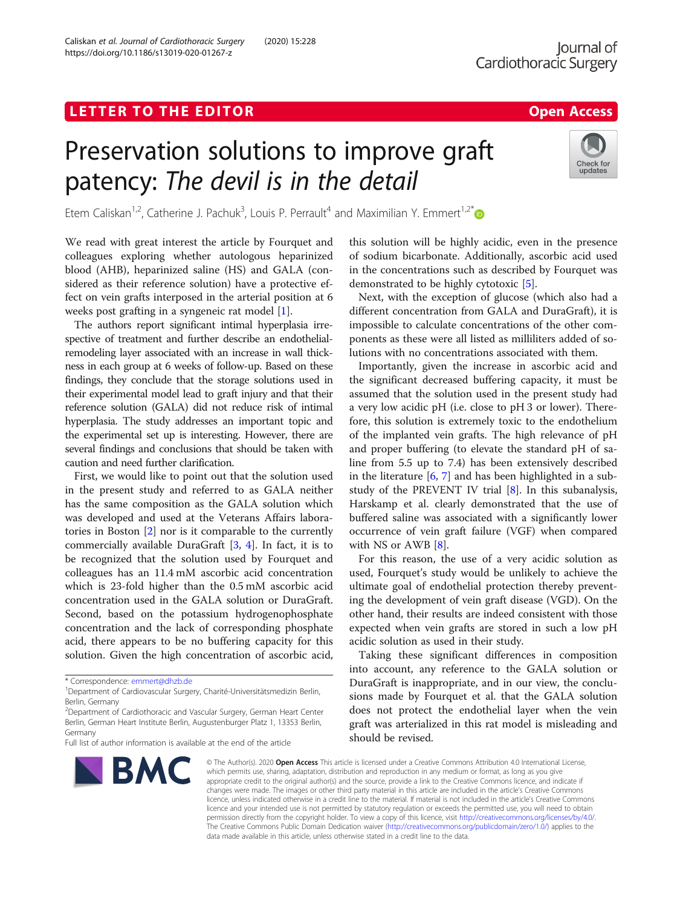https://doi.org/10.1186/s13019-020-01267-z

Caliskan et al. Journal of Cardiothoracic Surgery (2020) 15:228

# Preservation solutions to improve graft patency: The devil is in the detail



Etem Caliskan<sup>1,2</sup>, Catherine J. Pachuk<sup>3</sup>, Louis P. Perrault<sup>4</sup> and Maximilian Y. Emmert<sup>1,2\*</sup>

We read with great interest the article by Fourquet and colleagues exploring whether autologous heparinized blood (AHB), heparinized saline (HS) and GALA (considered as their reference solution) have a protective effect on vein grafts interposed in the arterial position at 6 weeks post grafting in a syngeneic rat model [\[1\]](#page-1-0).

The authors report significant intimal hyperplasia irrespective of treatment and further describe an endothelialremodeling layer associated with an increase in wall thickness in each group at 6 weeks of follow-up. Based on these findings, they conclude that the storage solutions used in their experimental model lead to graft injury and that their reference solution (GALA) did not reduce risk of intimal hyperplasia. The study addresses an important topic and the experimental set up is interesting. However, there are several findings and conclusions that should be taken with caution and need further clarification.

First, we would like to point out that the solution used in the present study and referred to as GALA neither has the same composition as the GALA solution which was developed and used at the Veterans Affairs laboratories in Boston [\[2](#page-1-0)] nor is it comparable to the currently commercially available DuraGraft [\[3](#page-1-0), [4](#page-1-0)]. In fact, it is to be recognized that the solution used by Fourquet and colleagues has an 11.4 mM ascorbic acid concentration which is 23-fold higher than the 0.5 mM ascorbic acid concentration used in the GALA solution or DuraGraft. Second, based on the potassium hydrogenophosphate concentration and the lack of corresponding phosphate acid, there appears to be no buffering capacity for this solution. Given the high concentration of ascorbic acid,

Full list of author information is available at the end of the article



this solution will be highly acidic, even in the presence of sodium bicarbonate. Additionally, ascorbic acid used in the concentrations such as described by Fourquet was demonstrated to be highly cytotoxic [\[5](#page-1-0)].

Next, with the exception of glucose (which also had a different concentration from GALA and DuraGraft), it is impossible to calculate concentrations of the other components as these were all listed as milliliters added of solutions with no concentrations associated with them.

Importantly, given the increase in ascorbic acid and the significant decreased buffering capacity, it must be assumed that the solution used in the present study had a very low acidic pH (i.e. close to pH 3 or lower). Therefore, this solution is extremely toxic to the endothelium of the implanted vein grafts. The high relevance of pH and proper buffering (to elevate the standard pH of saline from 5.5 up to 7.4) has been extensively described in the literature  $[6, 7]$  $[6, 7]$  $[6, 7]$  $[6, 7]$  and has been highlighted in a substudy of the PREVENT IV trial [[8\]](#page-1-0). In this subanalysis, Harskamp et al. clearly demonstrated that the use of buffered saline was associated with a significantly lower occurrence of vein graft failure (VGF) when compared with NS or AWB [[8](#page-1-0)].

For this reason, the use of a very acidic solution as used, Fourquet's study would be unlikely to achieve the ultimate goal of endothelial protection thereby preventing the development of vein graft disease (VGD). On the other hand, their results are indeed consistent with those expected when vein grafts are stored in such a low pH acidic solution as used in their study.

Taking these significant differences in composition into account, any reference to the GALA solution or DuraGraft is inappropriate, and in our view, the conclusions made by Fourquet et al. that the GALA solution does not protect the endothelial layer when the vein graft was arterialized in this rat model is misleading and should be revised.

© The Author(s), 2020 **Open Access** This article is licensed under a Creative Commons Attribution 4.0 International License, which permits use, sharing, adaptation, distribution and reproduction in any medium or format, as long as you give appropriate credit to the original author(s) and the source, provide a link to the Creative Commons licence, and indicate if changes were made. The images or other third party material in this article are included in the article's Creative Commons licence, unless indicated otherwise in a credit line to the material. If material is not included in the article's Creative Commons licence and your intended use is not permitted by statutory regulation or exceeds the permitted use, you will need to obtain permission directly from the copyright holder. To view a copy of this licence, visit [http://creativecommons.org/licenses/by/4.0/.](http://creativecommons.org/licenses/by/4.0/) The Creative Commons Public Domain Dedication waiver [\(http://creativecommons.org/publicdomain/zero/1.0/](http://creativecommons.org/publicdomain/zero/1.0/)) applies to the data made available in this article, unless otherwise stated in a credit line to the data.

<sup>\*</sup> Correspondence: [emmert@dhzb.de](mailto:emmert@dhzb.de) <sup>1</sup>

<sup>&</sup>lt;sup>1</sup>Department of Cardiovascular Surgery, Charité-Universitätsmedizin Berlin, Berlin, Germany

<sup>&</sup>lt;sup>2</sup>Department of Cardiothoracic and Vascular Surgery, German Heart Center Berlin, German Heart Institute Berlin, Augustenburger Platz 1, 13353 Berlin, Germany